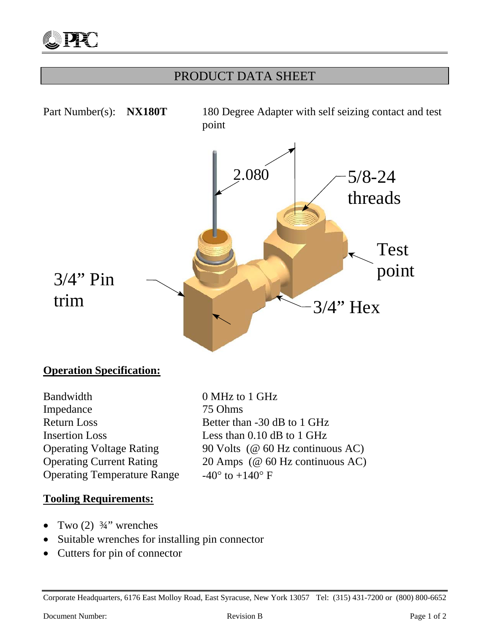

## PRODUCT DATA SHEET



0 MHz to 1 GHz

#### **Operation Specification:**

| Bandwidth                          |
|------------------------------------|
| Impedance                          |
| <b>Return Loss</b>                 |
| <b>Insertion Loss</b>              |
| <b>Operating Voltage Rating</b>    |
| <b>Operating Current Rating</b>    |
| <b>Operating Temperature Range</b> |

## 75 Ohms Better than -30 dB to 1 GHz Less than  $0.10$  dB to 1 GHz 90 Volts ( $@$  60 Hz continuous AC)  $20$  Amps (@ 60 Hz continuous AC)  $-40^\circ$  to  $+140^\circ$  F

#### **Tooling Requirements:**

- Two  $(2)$   $\frac{3}{4}$ " wrenches
- Suitable wrenches for installing pin connector
- Cutters for pin of connector

Corporate Headquarters, 6176 East Molloy Road, East Syracuse, New York 13057 Tel: (315) 431-7200 or (800) 800-6652